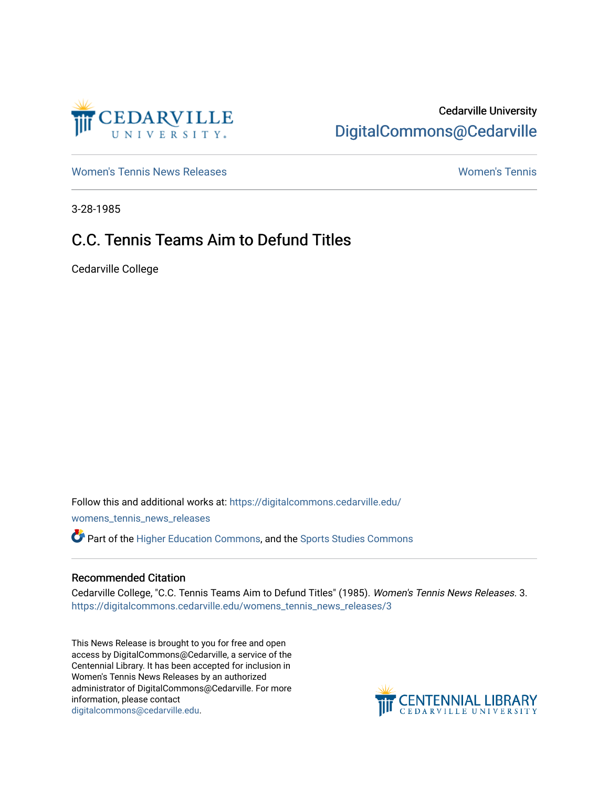

## Cedarville University [DigitalCommons@Cedarville](https://digitalcommons.cedarville.edu/)

[Women's Tennis News Releases](https://digitalcommons.cedarville.edu/womens_tennis_news_releases) [Women's Tennis](https://digitalcommons.cedarville.edu/womens_tennis) 

3-28-1985

## C.C. Tennis Teams Aim to Defund Titles

Cedarville College

Follow this and additional works at: [https://digitalcommons.cedarville.edu/](https://digitalcommons.cedarville.edu/womens_tennis_news_releases?utm_source=digitalcommons.cedarville.edu%2Fwomens_tennis_news_releases%2F3&utm_medium=PDF&utm_campaign=PDFCoverPages) [womens\\_tennis\\_news\\_releases](https://digitalcommons.cedarville.edu/womens_tennis_news_releases?utm_source=digitalcommons.cedarville.edu%2Fwomens_tennis_news_releases%2F3&utm_medium=PDF&utm_campaign=PDFCoverPages) 

Part of the [Higher Education Commons,](http://network.bepress.com/hgg/discipline/1245?utm_source=digitalcommons.cedarville.edu%2Fwomens_tennis_news_releases%2F3&utm_medium=PDF&utm_campaign=PDFCoverPages) and the [Sports Studies Commons](http://network.bepress.com/hgg/discipline/1198?utm_source=digitalcommons.cedarville.edu%2Fwomens_tennis_news_releases%2F3&utm_medium=PDF&utm_campaign=PDFCoverPages) 

## Recommended Citation

Cedarville College, "C.C. Tennis Teams Aim to Defund Titles" (1985). Women's Tennis News Releases. 3. [https://digitalcommons.cedarville.edu/womens\\_tennis\\_news\\_releases/3](https://digitalcommons.cedarville.edu/womens_tennis_news_releases/3?utm_source=digitalcommons.cedarville.edu%2Fwomens_tennis_news_releases%2F3&utm_medium=PDF&utm_campaign=PDFCoverPages) 

This News Release is brought to you for free and open access by DigitalCommons@Cedarville, a service of the Centennial Library. It has been accepted for inclusion in Women's Tennis News Releases by an authorized administrator of DigitalCommons@Cedarville. For more information, please contact [digitalcommons@cedarville.edu](mailto:digitalcommons@cedarville.edu).

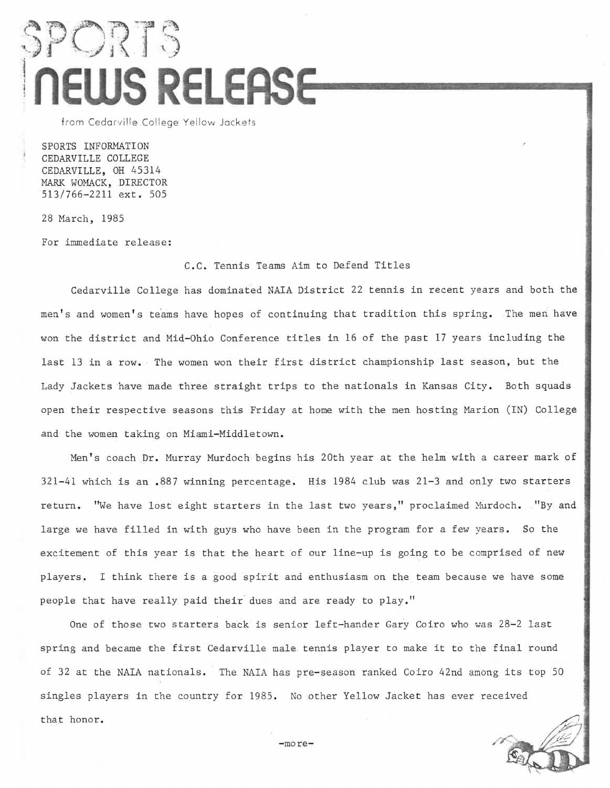## SPORTS **NEWS RELEASE**

from Cedarville College Yellow Jackets

SPORTS INFORMATION CEDARVILLE COLLEGE CEDARVILLE, OH 45314 MARK WOMACK, DIRECTOR 513/766-2211 ext. 505

28 March, 1985

For immediate release:

C.C. Tennis Teams Aim to Defend Titles

Cedarville College has dominated NAIA District 22 tennis in recent years and both the men's and women's teams have hopes of continuing that tradition this spring. The men have won the district and Mid-Ohio Conference titles in 16 of the past 17 years including the last 13 in a row. The women won their first district championship last season, but the Lady Jackets have made three straight trips to the nationals in Kansas City. Both squads open their respective seasons this Friday at home with the men hosting Marion (IN) College and the women taking on Miami-Middletown.

Men's coach Dr. Murray Murdoch begins his 20th year at the helm with a career mark of 321-41 which is an .887 winning percentage. His 1984 club was 21-3 and only two starters return. "We have lost eight starters in the last two years," proclaimed Murdoch. "By and large we have filled in with guys who have been in the program for a few years. So the excitement of this year is that the heart of our line-up is going to be comprised of new players. I think there is a good spirit and enthusiasm on the team because we have some people that have really paid their dues and are ready to play."

One of those two starters back is senior left-hander Gary Coiro who was 28-2 last spring and became the first Cedarville male tennis player to make it to the final round of 32 at the NAIA nationals. The NAIA has pre-season ranked Coiro 42nd among its top 50 singles players in the country for 1985. No other Yellow Jacket has ever received that honor.